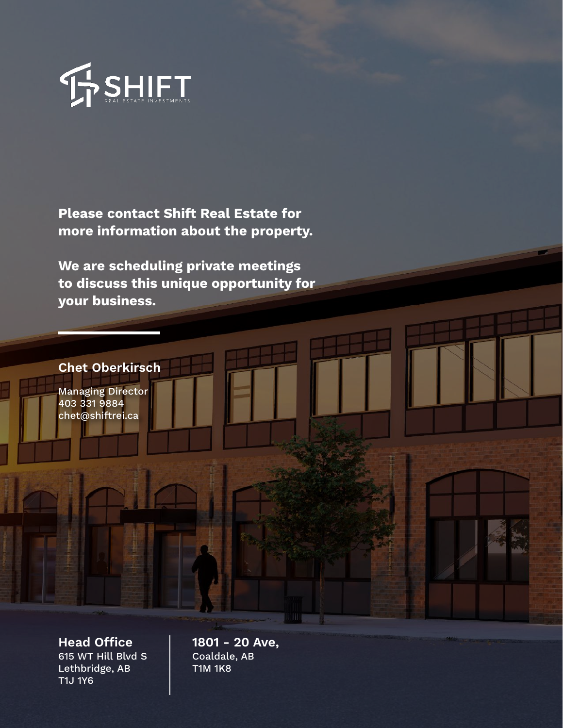

Please contact Shift Real Estate for more information about the property.

We are scheduling private meetings to discuss this unique opportunity for your business.



Managing Director 403 331 9884 chet@shiftrei.ca

Head Office  $\vert$  1801 - 20 Ave, 615 WT Hill Blvd S Lethbridge, AB T1J 1Y6

Coaldale, AB T1M 1K8

**MILLET**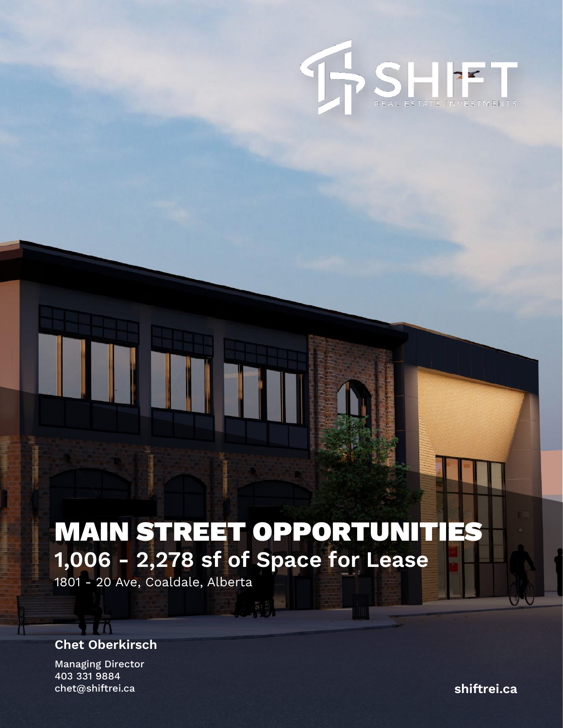

# MAIN STREET OPPORTUNITIES 1,006 - 2,278 sf of Space for Lease

1801 - 20 Ave, Coaldale, Alberta

### Chet Oberkirsch

**TIN** 

П

Managing Director 403 331 9884 chet@shiftrei.ca shiftrei.ca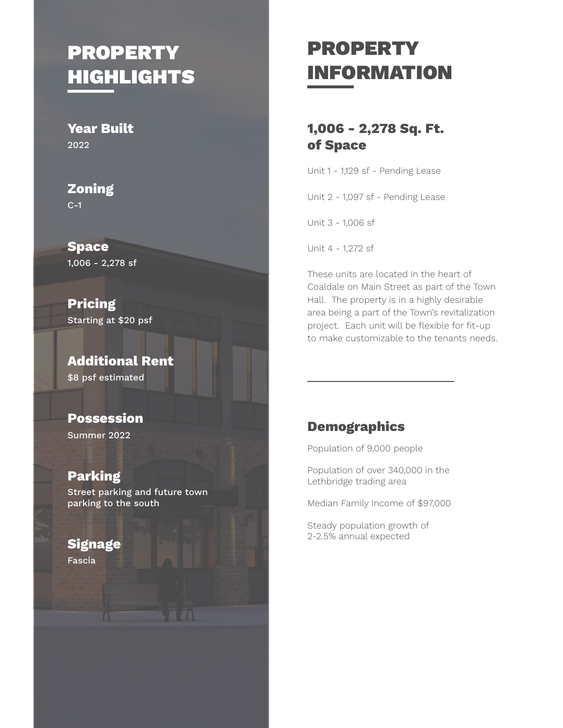### PROPERTY HIGHLIGHTS

Year Built 2022

Zoning C-1

Space 1,006 - 2,278 sf

Pricing Starting at \$20 psf

Additional Rent \$8 psf estimated

Possession Summer 2022

Parking Street parking and future town parking to the south

#### **Signage**

Fascia

## PROPERTY INFORMATION

#### 1,006 - 2,278 Sq. Ft. of Space

Unit 1 - 1,129 sf - Pending Lease

Unit 2 - 1,097 sf - Pending Lease

Unit 3 - 1,006 sf

Unit 4 - 1,272 sf

These units are located in the heart of Coaldale on Main Street as part of the Town Hall. The property is in a highly desirable area being a part of the Town's revitalization project. Each unit will be flexible for fit-up to make customizable to the tenants needs.

#### **Demographics**

Population of 9,000 people

Population of over 340,000 in the Lethbridge trading area

Median Family Income of \$97,000

Steady population growth of 2-2.5% annual expected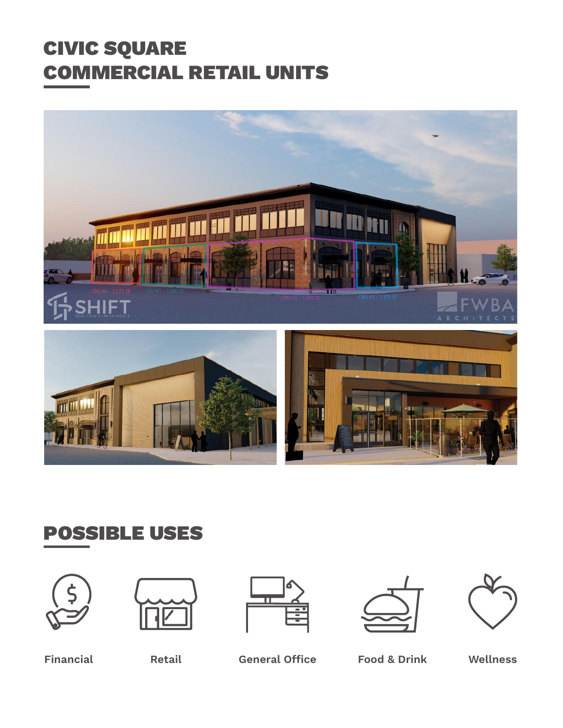### CIVIC SQUARE COMMERCIAL RETAIL UNITS





### POSSIBLE USES











Financial Retail General Office Food & Drink Wellness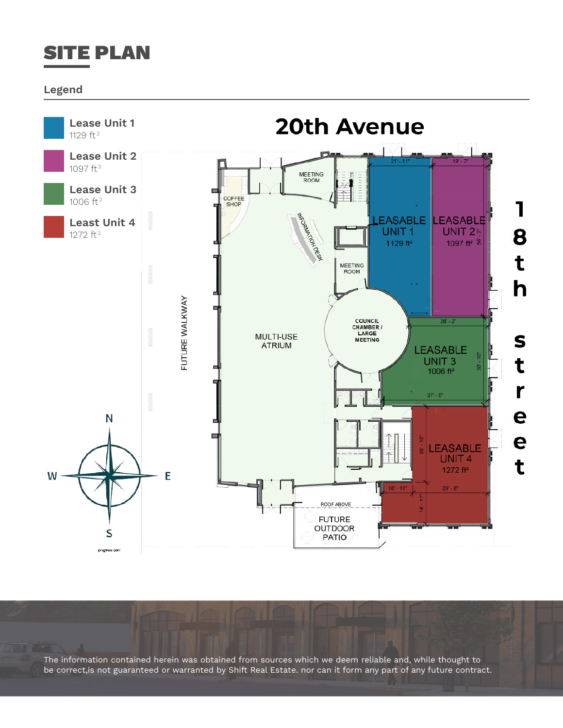

#### Legend



The information contained herein was obtained from sources which we deem reliable and, while thought to be correct,is not guaranteed or warranted by Shift Real Estate. nor can it form any part of any future contract.